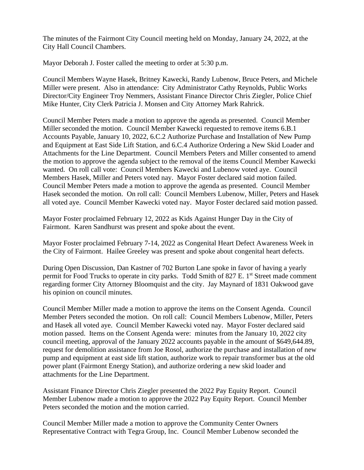The minutes of the Fairmont City Council meeting held on Monday, January 24, 2022, at the City Hall Council Chambers.

Mayor Deborah J. Foster called the meeting to order at 5:30 p.m.

Council Members Wayne Hasek, Britney Kawecki, Randy Lubenow, Bruce Peters, and Michele Miller were present. Also in attendance: City Administrator Cathy Reynolds, Public Works Director/City Engineer Troy Nemmers, Assistant Finance Director Chris Ziegler, Police Chief Mike Hunter, City Clerk Patricia J. Monsen and City Attorney Mark Rahrick.

Council Member Peters made a motion to approve the agenda as presented. Council Member Miller seconded the motion. Council Member Kawecki requested to remove items 6.B.1 Accounts Payable, January 10, 2022, 6.C.2 Authorize Purchase and Installation of New Pump and Equipment at East Side Lift Station, and 6.C.4 Authorize Ordering a New Skid Loader and Attachments for the Line Department. Council Members Peters and Miller consented to amend the motion to approve the agenda subject to the removal of the items Council Member Kawecki wanted. On roll call vote: Council Members Kawecki and Lubenow voted aye. Council Members Hasek, Miller and Peters voted nay. Mayor Foster declared said motion failed. Council Member Peters made a motion to approve the agenda as presented. Council Member Hasek seconded the motion. On roll call: Council Members Lubenow, Miller, Peters and Hasek all voted aye. Council Member Kawecki voted nay. Mayor Foster declared said motion passed.

Mayor Foster proclaimed February 12, 2022 as Kids Against Hunger Day in the City of Fairmont. Karen Sandhurst was present and spoke about the event.

Mayor Foster proclaimed February 7-14, 2022 as Congenital Heart Defect Awareness Week in the City of Fairmont. Hailee Greeley was present and spoke about congenital heart defects.

During Open Discussion, Dan Kastner of 702 Burton Lane spoke in favor of having a yearly permit for Food Trucks to operate in city parks. Todd Smith of 827 E. 1<sup>st</sup> Street made comment regarding former City Attorney Bloomquist and the city. Jay Maynard of 1831 Oakwood gave his opinion on council minutes.

Council Member Miller made a motion to approve the items on the Consent Agenda. Council Member Peters seconded the motion. On roll call: Council Members Lubenow, Miller, Peters and Hasek all voted aye. Council Member Kawecki voted nay. Mayor Foster declared said motion passed. Items on the Consent Agenda were: minutes from the January 10, 2022 city council meeting, approval of the January 2022 accounts payable in the amount of \$649,644.89, request for demolition assistance from Joe Rosol, authorize the purchase and installation of new pump and equipment at east side lift station, authorize work to repair transformer bus at the old power plant (Fairmont Energy Station), and authorize ordering a new skid loader and attachments for the Line Department.

Assistant Finance Director Chris Ziegler presented the 2022 Pay Equity Report. Council Member Lubenow made a motion to approve the 2022 Pay Equity Report. Council Member Peters seconded the motion and the motion carried.

Council Member Miller made a motion to approve the Community Center Owners Representative Contract with Tegra Group, Inc. Council Member Lubenow seconded the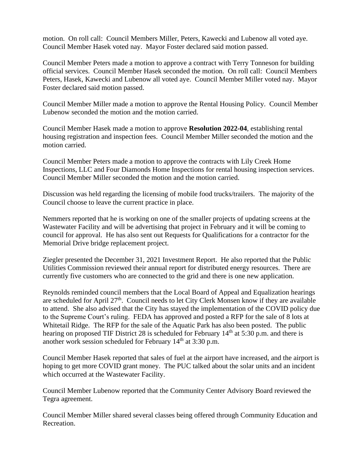motion. On roll call: Council Members Miller, Peters, Kawecki and Lubenow all voted aye. Council Member Hasek voted nay. Mayor Foster declared said motion passed.

Council Member Peters made a motion to approve a contract with Terry Tonneson for building official services. Council Member Hasek seconded the motion. On roll call: Council Members Peters, Hasek, Kawecki and Lubenow all voted aye. Council Member Miller voted nay. Mayor Foster declared said motion passed.

Council Member Miller made a motion to approve the Rental Housing Policy. Council Member Lubenow seconded the motion and the motion carried.

Council Member Hasek made a motion to approve **Resolution 2022-04**, establishing rental housing registration and inspection fees. Council Member Miller seconded the motion and the motion carried.

Council Member Peters made a motion to approve the contracts with Lily Creek Home Inspections, LLC and Four Diamonds Home Inspections for rental housing inspection services. Council Member Miller seconded the motion and the motion carried.

Discussion was held regarding the licensing of mobile food trucks/trailers. The majority of the Council choose to leave the current practice in place.

Nemmers reported that he is working on one of the smaller projects of updating screens at the Wastewater Facility and will be advertising that project in February and it will be coming to council for approval. He has also sent out Requests for Qualifications for a contractor for the Memorial Drive bridge replacement project.

Ziegler presented the December 31, 2021 Investment Report. He also reported that the Public Utilities Commission reviewed their annual report for distributed energy resources. There are currently five customers who are connected to the grid and there is one new application.

Reynolds reminded council members that the Local Board of Appeal and Equalization hearings are scheduled for April 27<sup>th</sup>. Council needs to let City Clerk Monsen know if they are available to attend. She also advised that the City has stayed the implementation of the COVID policy due to the Supreme Court's ruling. FEDA has approved and posted a RFP for the sale of 8 lots at Whitetail Ridge. The RFP for the sale of the Aquatic Park has also been posted. The public hearing on proposed TIF District 28 is scheduled for February 14<sup>th</sup> at 5:30 p.m. and there is another work session scheduled for February 14th at 3:30 p.m.

Council Member Hasek reported that sales of fuel at the airport have increased, and the airport is hoping to get more COVID grant money. The PUC talked about the solar units and an incident which occurred at the Wastewater Facility.

Council Member Lubenow reported that the Community Center Advisory Board reviewed the Tegra agreement.

Council Member Miller shared several classes being offered through Community Education and Recreation.